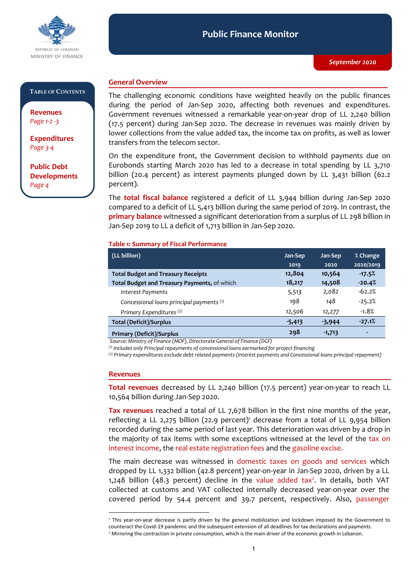

#### **Public Finance Monitor** *September 2020* **Public Finance Monitor**

### **TABLE OF CONTENTS**

**Revenues**  *Page 1-2 -3*

**Expenditures**  *Page 3-4*

**Public Debt Developments** *Page 4*

## **General Overview**

The challenging economic conditions have weighted heavily on the public finances during the period of Jan-Sep 2020, affecting both revenues and expenditures. Government revenues witnessed a remarkable year-on-year drop of LL 2,240 billion (17.5 percent) during Jan-Sep 2020. The decrease in revenues was mainly driven by lower collections from the value added tax, the income tax on profits, as well as lower transfers from the telecom sector.

On the expenditure front, the Government decision to withhold payments due on Eurobonds starting March 2020 has led to a decrease in total spending by LL 3,710 billion (20.4 percent) as interest payments plunged down by LL 3,431 billion (62.2 percent).

The **total fiscal balance** registered a deficit of LL 3,944 billion during Jan-Sep 2020 compared to a deficit of LL 5,413 billion during the same period of 2019. In contrast, the **primary balance** witnessed a significant deterioration from a surplus of LL 298 billion in Jan-Sep 2019 to LL a deficit of 1,713 billion in Jan-Sep 2020.

### **Table 1: Summary of Fiscal Performance**

| (LL billion)                                 | Jan-Sep  | Jan-Sep  | % Change  |
|----------------------------------------------|----------|----------|-----------|
|                                              | 2019     | 2020     | 2020/2019 |
| <b>Total Budget and Treasury Receipts</b>    | 12,804   | 10,564   | $-17.5%$  |
| Total Budget and Treasury Payments, of which | 18,217   | 14,508   | $-20.4%$  |
| Interest Payments                            | 5,513    | 2,082    | $-62.2%$  |
| Concessional loans principal payments (1)    | 198      | 148      | $-25.2%$  |
| Primary Expenditures <sup>(2)</sup>          | 12,506   | 12,277   | $-1.8%$   |
| <b>Total (Deficit)/Surplus</b>               | $-5,413$ | $-3,944$ | $-27.1%$  |
| <b>Primary (Deficit)/Surplus</b>             | 298      | $-1,713$ | ۰         |

*Source: Ministry of Finance (MOF), Directorate General of Finance (DGF)*

*(1) Includes only Principal repayments of concessional loans earmarked for project financing*

*(2) Primary expenditures exclude debt related payments (Interest payments and Concessional loans principal repayment)*

#### **Revenues**

-

**Total revenues** decreased by LL 2,240 billion (17.5 percent) year-on-year to reach LL 10,564 billion during Jan-Sep 2020.

**Tax revenues** reached a total of LL 7,678 billion in the first nine months of the year, reflecting a LL 2,275 billion (22.9 percent)<sup>1</sup> decrease from a total of LL 9,954 billion recorded during the same period of last year. This deterioration was driven by a drop in the majority of tax items with some exceptions witnessed at the level of the tax on interest income, the real estate registration fees and the gasoline excise.

The main decrease was witnessed in domestic taxes on goods and services which dropped by LL 1,332 billion (42.8 percent) year-on-year in Jan-Sep 2020, driven by a LL 1,248 billion (48.3 percent) decline in the value added tax<sup>2</sup>. In details, both VAT collected at customs and VAT collected internally decreased year-on-year over the covered period by 54.4 percent and 39.7 percent, respectively. Also, passenger

<sup>1</sup> This year-on-year decrease is partly driven by the general mobilization and lockdown imposed by the Government to counteract the Covid-19 pandemic and the subsequent extension of all deadlines for tax declarations and payments.

<sup>&</sup>lt;sup>2</sup> Mirroring the contraction in private consumption, which is the main driver of the economic growth in Lebanon.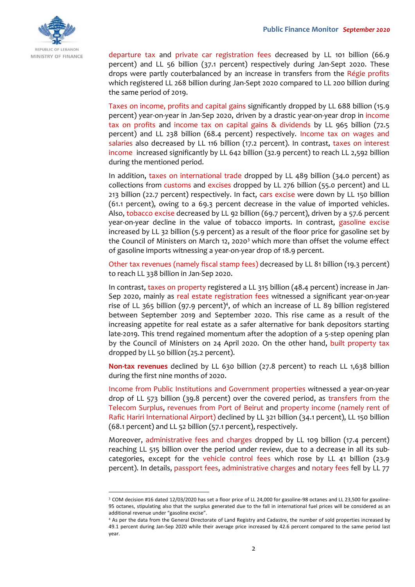

departure tax and private car registration fees decreased by LL 101 billion (66.9 percent) and LL 56 billion (37.1 percent) respectively during Jan-Sept 2020. These drops were partly couterbalanced by an increase in transfers from the Régie profits which registered LL 268 billion during Jan-Sept 2020 compared to LL 200 billion during the same period of 2019.

Taxes on income, profits and capital gains significantly dropped by LL 688 billion (15.9 percent) year-on-year in Jan-Sep 2020, driven by a drastic year-on-year drop in income tax on profits and income tax on capital gains & dividends by LL 965 billion (72.5 percent) and LL 238 billion (68.4 percent) respectively. Income tax on wages and salaries also decreased by LL 116 billion (17.2 percent). In contrast, taxes on interest income increased significantly by LL 642 billion (32.9 percent) to reach LL 2,592 billion during the mentioned period.

In addition, taxes on international trade dropped by LL 489 billion (34.0 percent) as collections from customs and excises dropped by LL 276 billion (55.0 percent) and LL 213 billion (22.7 percent) respectively. In fact, cars excise were down by LL 150 billion (61.1 percent), owing to a 69.3 percent decrease in the value of imported vehicles. Also, tobacco excise decreased by LL 92 billion (69.7 percent), driven by a 57.6 percent year-on-year decline in the value of tobacco imports. In contrast, gasoline excise increased by LL 32 billion (5.9 percent) as a result of the floor price for gasoline set by the Council of Ministers on March 12, 2020<sup>3</sup> which more than offset the volume effect of gasoline imports witnessing a year-on-year drop of 18.9 percent.

Other tax revenues (namely fiscal stamp fees) decreased by LL 81 billion (19.3 percent) to reach LL 338 billion in Jan-Sep 2020.

In contrast, taxes on property registered a LL 315 billion (48.4 percent) increase in Jan-Sep 2020, mainly as real estate registration fees witnessed a significant year-on-year rise of LL 365 billion (97.9 percent)<sup>4</sup>, of which an increase of LL 89 billion registered between September 2019 and September 2020. This rise came as a result of the increasing appetite for real estate as a safer alternative for bank depositors starting late-2019. This trend regained momentum after the adoption of a 5-step opening plan by the Council of Ministers on 24 April 2020. On the other hand, built property tax dropped by LL 50 billion (25.2 percent).

**Non-tax revenues** declined by LL 630 billion (27.8 percent) to reach LL 1,638 billion during the first nine months of 2020.

Income from Public Institutions and Government properties witnessed a year-on-year drop of LL 573 billion (39.8 percent) over the covered period, as transfers from the Telecom Surplus, revenues from Port of Beirut and property income (namely rent of Rafic Hariri International Airport) declined by LL 321 billion (34.1 percent), LL 150 billion (68.1 percent) and LL 52 billion (57.1 percent), respectively.

Moreover, administrative fees and charges dropped by LL 109 billion (17.4 percent) reaching LL 515 billion over the period under review, due to a decrease in all its subcategories, except for the vehicle control fees which rose by LL 41 billion (23.9 percent). In details, passport fees, administrative charges and notary fees fell by LL 77

-

<sup>3</sup> COM decision #16 dated 12/03/2020 has set a floor price of LL 24,000 for gasoline-98 octanes and LL 23,500 for gasoline-95 octanes, stipulating also that the surplus generated due to the fall in international fuel prices will be considered as an additional revenue under "gasoline excise".

<sup>4</sup> As per the data from the General Directorate of Land Registry and Cadastre, the number of sold properties increased by 49.1 percent during Jan-Sep 2020 while their average price increased by 42.6 percent compared to the same period last year.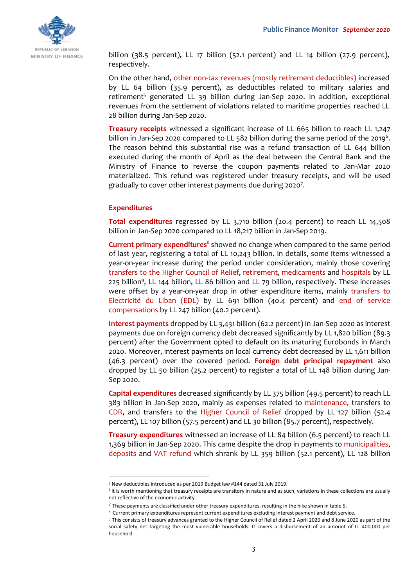

billion (38.5 percent), LL 17 billion (52.1 percent) and LL 14 billion (27.9 percent), respectively.

On the other hand, other non-tax revenues (mostly retirement deductibles) increased by LL 64 billion (35.9 percent), as deductibles related to military salaries and retirement<sup>5</sup> generated LL 39 billion during Jan-Sep 2020. In addition, exceptional revenues from the settlement of violations related to maritime properties reached LL 28 billion during Jan-Sep 2020.

**Treasury receipts** witnessed a significant increase of LL 665 billion to reach LL 1,247 billion in Jan-Sep 2020 compared to LL 582 billion during the same period of the 2019<sup>6</sup>. The reason behind this substantial rise was a refund transaction of LL 644 billion executed during the month of April as the deal between the Central Bank and the Ministry of Finance to reverse the coupon payments related to Jan-Mar 2020 materialized. This refund was registered under treasury receipts, and will be used gradually to cover other interest payments due during 2020<sup>7</sup>.

### **Expenditures**

-

**Total expenditures** regressed by LL 3,710 billion (20.4 percent) to reach LL 14,508 billion in Jan-Sep 2020 compared to LL 18,217 billion in Jan-Sep 2019.

**Current primary expenditures**<sup>8</sup> showed no change when compared to the same period of last year, registering a total of LL 10,243 billion. In details, some items witnessed a year-on-year increase during the period under consideration, mainly those covering transfers to the Higher Council of Relief, retirement, medicaments and hospitals by LL 225 billion<sup>9</sup>, LL 144 billion, LL 86 billion and LL 79 billion, respectively. These increases were offset by a year-on-year drop in other expenditure items, mainly transfers to Electricité du Liban (EDL) by LL 691 billion (40.4 percent) and end of service compensations by LL 247 billion (40.2 percent).

**Interest payments** dropped by LL 3,431 billion (62.2 percent) in Jan-Sep 2020 as interest payments due on foreign currency debt decreased significantly by LL 1,820 billion (89.3 percent) after the Government opted to default on its maturing Eurobonds in March 2020. Moreover, interest payments on local currency debt decreased by LL 1,611 billion (46.3 percent) over the covered period. **Foreign debt principal repayment** also dropped by LL 50 billion (25.2 percent) to register a total of LL 148 billion during Jan-Sep 2020.

**Capital expenditures** decreased significantly by LL 375 billion (49.5 percent) to reach LL 383 billion in Jan-Sep 2020, mainly as expenses related to maintenance, transfers to CDR, and transfers to the Higher Council of Relief dropped by LL 127 billion (52.4 percent), LL 107 billion (57.5 percent) and LL 30 billion (85.7 percent), respectively.

**Treasury expenditures** witnessed an increase of LL 84 billion (6.5 percent) to reach LL 1,369 billion in Jan-Sep 2020. This came despite the drop in payments to municipalities, deposits and VAT refund which shrank by LL 359 billion (52.1 percent), LL 128 billion

<sup>5</sup> New deductibles introduced as per 2019 Budget law #144 dated 31 July 2019.

<sup>&</sup>lt;sup>6</sup>It is worth mentioning that treasury receipts are transitory in nature and as such, variations in these collections are usually not reflective of the economic activity.

 $^7$  These payments are classified under other treasury expenditures, resulting in the hike shown in table 5.

<sup>&</sup>lt;sup>8</sup> Current primary expenditures represent current expenditures excluding interest payment and debt service.

<sup>9</sup> This consists of treasury advances granted to the Higher Council of Relief dated 2 April 2020 and 8 June 2020 as part of the social safety net targeting the most vulnerable households. It covers a disbursement of an amount of LL 400,000 per household.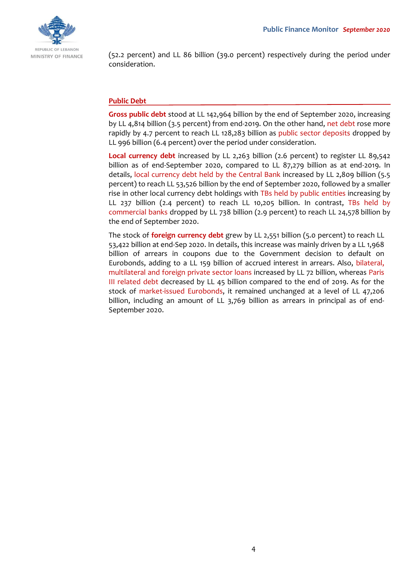

(52.2 percent) and LL 86 billion (39.0 percent) respectively during the period under consideration.

## **Public Debt**

**Gross public debt** stood at LL 142,964 billion by the end of September 2020, increasing by LL 4,814 billion (3.5 percent) from end-2019. On the other hand, net debt rose more rapidly by 4.7 percent to reach LL 128,283 billion as public sector deposits dropped by LL 996 billion (6.4 percent) over the period under consideration.

**Local currency debt** increased by LL 2,263 billion (2.6 percent) to register LL 89,542 billion as of end-September 2020, compared to LL 87,279 billion as at end-2019. In details, local currency debt held by the Central Bank increased by LL 2,809 billion (5.5 percent) to reach LL 53,526 billion by the end of September 2020, followed by a smaller rise in other local currency debt holdings with TBs held by public entities increasing by LL 237 billion (2.4 percent) to reach LL 10,205 billion. In contrast, TBs held by commercial banks dropped by LL 738 billion (2.9 percent) to reach LL 24,578 billion by the end of September 2020.

The stock of **foreign currency debt** grew by LL 2,551 billion (5.0 percent) to reach LL 53,422 billion at end-Sep 2020. In details, this increase was mainly driven by a LL 1,968 billion of arrears in coupons due to the Government decision to default on Eurobonds, adding to a LL 159 billion of accrued interest in arrears. Also, bilateral, multilateral and foreign private sector loans increased by LL 72 billion, whereas Paris III related debt decreased by LL 45 billion compared to the end of 2019. As for the stock of market-issued Eurobonds, it remained unchanged at a level of LL 47,206 billion, including an amount of LL 3,769 billion as arrears in principal as of end-September 2020.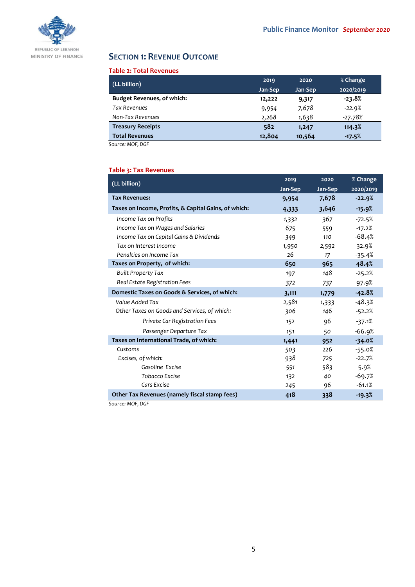

# **SECTION 1: REVENUE OUTCOME**

### **Table 2: Total Revenues**

| (LL billion)                      | 2019    | 2020    | % Change  |
|-----------------------------------|---------|---------|-----------|
|                                   | Jan-Sep | Jan-Sep | 2020/2019 |
| <b>Budget Revenues, of which:</b> | 12,222  | 9,317   | $-23.8%$  |
| <b>Tax Revenues</b>               | 9,954   | 7,678   | $-22.9%$  |
| Non-Tax Revenues                  | 2,268   | 1,638   | $-27.78%$ |
| <b>Treasury Receipts</b>          | 582     | 1,247   | 114.3%    |
| <b>Total Revenues</b>             | 12,804  | 10,564  | $-17.5%$  |

*Source: MOF, DGF*

# **Table 3: Tax Revenues**

| (LL billion)                                         | 2019    | 2020    | % Change  |
|------------------------------------------------------|---------|---------|-----------|
|                                                      | Jan-Sep | Jan-Sep | 2020/2019 |
| <b>Tax Revenues:</b>                                 | 9,954   | 7,678   | $-22.9%$  |
| Taxes on Income, Profits, & Capital Gains, of which: | 4,333   | 3,646   | $-15.9%$  |
| Income Tax on Profits                                | 1,332   | 367     | $-72.5%$  |
| Income Tax on Wages and Salaries                     | 675     | 559     | $-17.2%$  |
| Income Tax on Capital Gains & Dividends              | 349     | 110     | $-68.4%$  |
| Tax on Interest Income                               | 1,950   | 2,592   | 32.9%     |
| Penalties on Income Tax                              | 26      | 17      | $-35.4%$  |
| Taxes on Property, of which:                         | 650     | 965     | 48.4%     |
| <b>Built Property Tax</b>                            | 197     | 148     | $-25.2%$  |
| Real Estate Registration Fees                        | 372     | 737     | 97.9%     |
| Domestic Taxes on Goods & Services, of which:        | 3,111   | 1,779   | $-42.8%$  |
| Value Added Tax                                      | 2,581   | 1,333   | $-48.3%$  |
| Other Taxes on Goods and Services, of which:         | 306     | 146     | $-52.2%$  |
| Private Car Registration Fees                        | 152     | 96      | $-37.1%$  |
| Passenger Departure Tax                              | 151     | 50      | $-66.9%$  |
| Taxes on International Trade, of which:              | 1,441   | 952     | $-34.0%$  |
| Customs                                              | 503     | 226     | $-55.0%$  |
| Excises, of which:                                   | 938     | 725     | $-22.7%$  |
| Gasoline Excise                                      | 551     | 583     | 5.9%      |
| Tobacco Excise                                       | 132     | 40      | $-69.7%$  |
| Cars Excise                                          | 245     | 96      | $-61.1%$  |
| Other Tax Revenues (namely fiscal stamp fees)        | 418     | 338     | $-19.3%$  |

*Source: MOF, DGF*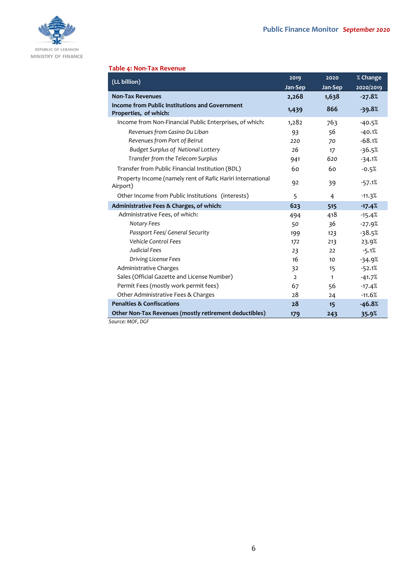

## **Table 4: Non-Tax Revenue**

| (LL billion)                                                            | 2019           | 2020         | % Change  |
|-------------------------------------------------------------------------|----------------|--------------|-----------|
|                                                                         | Jan-Sep        | Jan-Sep      | 2020/2019 |
| <b>Non-Tax Revenues</b>                                                 | 2,268          | 1,638        | $-27.8%$  |
| Income from Public Institutions and Government<br>Properties, of which: | 1,439          | 866          | $-39.8%$  |
| Income from Non-Financial Public Enterprises, of which:                 | 1,282          | 763          | $-40.5%$  |
| Revenues from Casino Du Liban                                           | 93             | 56           | $-40.1%$  |
| Revenues from Port of Beirut                                            | 220            | 70           | $-68.1%$  |
| <b>Budget Surplus of National Lottery</b>                               | 26             | 17           | $-36.5%$  |
| Transfer from the Telecom Surplus                                       | 941            | 620          | $-34.1%$  |
| Transfer from Public Financial Institution (BDL)                        | 60             | 60           | $-0.5%$   |
| Property Income (namely rent of Rafic Hariri International<br>Airport)  | 92             | 39           | $-57.1%$  |
| Other Income from Public Institutions (interests)                       | 5              | 4            | $-11.3%$  |
| Administrative Fees & Charges, of which:                                | 623            | 515          | $-17.4%$  |
| Administrative Fees, of which:                                          | 494            | 418          | $-15.4%$  |
| <b>Notary Fees</b>                                                      | 50             | 36           | $-27.9%$  |
| Passport Fees/ General Security                                         | 199            | 123          | $-38.5%$  |
| Vehicle Control Fees                                                    | 172            | 213          | 23.9%     |
| Judicial Fees                                                           | 23             | 22           | $-5.1%$   |
| Driving License Fees                                                    | 16             | 10           | $-34.9%$  |
| Administrative Charges                                                  | 32             | 15           | $-52.1%$  |
| Sales (Official Gazette and License Number)                             | $\overline{2}$ | $\mathbf{1}$ | $-41.7%$  |
| Permit Fees (mostly work permit fees)                                   | 67             | 56           | $-17.4%$  |
| Other Administrative Fees & Charges                                     | 28             | 24           | $-11.6%$  |
| <b>Penalties &amp; Confiscations</b>                                    | 28             | 15           | $-46.8%$  |
| Other Non-Tax Revenues (mostly retirement deductibles)                  | 179            | 243          | 35.9%     |
| Source: MOF, DGF                                                        |                |              |           |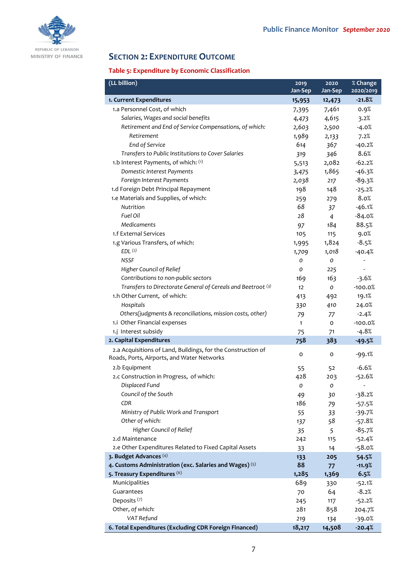

# **SECTION 2: EXPENDITURE OUTCOME**

# **Table 5: Expenditure by Economic Classification**

| (LL billion)                                                                                               | 2019         | 2020           | $%$ Change               |
|------------------------------------------------------------------------------------------------------------|--------------|----------------|--------------------------|
|                                                                                                            | Jan-Sep      | Jan-Sep        | 2020/2019                |
| 1. Current Expenditures                                                                                    | 15,953       | 12,473         | $-21.8%$                 |
| 1.a Personnel Cost, of which                                                                               | 7,395        | 7,461          | 0.9%                     |
| Salaries, Wages and social benefits                                                                        | 4,473        | 4,615          | 3.2%                     |
| Retirement and End of Service Compensations, of which:                                                     | 2,603        | 2,500          | $-4.0%$                  |
| Retirement                                                                                                 | 1,989        | 2,133          | 7.2%                     |
| End of Service                                                                                             | 614          | 367            | $-40.2%$                 |
| Transfers to Public Institutions to Cover Salaries                                                         | 319          | 346            | 8.6%                     |
| 1.b Interest Payments, of which: (1)                                                                       | 5,513        | 2,082          | $-62.2%$                 |
| Domestic Interest Payments                                                                                 | 3,475        | 1,865          | $-46.3%$                 |
| Foreign Interest Payments                                                                                  | 2,038        | 217            | $-89.3%$                 |
| 1.d Foreign Debt Principal Repayment                                                                       | 198          | 148            | $-25.2%$                 |
| 1.e Materials and Supplies, of which:                                                                      | 259          | 279            | 8.0%                     |
| Nutrition                                                                                                  | 68           | 37             | $-46.1%$                 |
| Fuel Oil                                                                                                   | 28           | $\overline{4}$ | $-84.0%$                 |
| <b>Medicaments</b>                                                                                         | 97           | 184            | 88.5%                    |
| 1.f External Services                                                                                      | 105          | 115            | 9.0%                     |
| 1.g Various Transfers, of which:                                                                           | 1,995        | 1,824          | $-8.5%$                  |
| EDL <sup>(2)</sup>                                                                                         | 1,709        | 1,018          | $-40.4%$                 |
| <b>NSSF</b>                                                                                                | O            | O              |                          |
| Higher Council of Relief                                                                                   | O            | 225            | $\overline{\phantom{a}}$ |
| Contributions to non-public sectors                                                                        | 169          | 163            | $-3.6%$                  |
| Transfers to Directorate General of Cereals and Beetroot (3)                                               | 12           | 0              | $-100.0%$                |
| 1.h Other Current, of which:                                                                               | 413          | 492            | 19.1%                    |
| Hospitals                                                                                                  | 330          | 410            | 24.0%                    |
| Others(judgments & reconciliations, mission costs, other)                                                  | 79           | 77             | $-2.4%$                  |
| 1.i Other Financial expenses                                                                               | $\mathbf{1}$ | o              | $-100.0%$                |
| 1.j Interest subsidy                                                                                       | 75           | 71             | $-4.8%$                  |
| 2. Capital Expenditures                                                                                    | 758          | 383            | $-49.5%$                 |
| 2.a Acquisitions of Land, Buildings, for the Construction of<br>Roads, Ports, Airports, and Water Networks | 0            | 0              | $-99.1%$                 |
| 2.b Equipment                                                                                              | 55           | 52             | $-6.6%$                  |
| 2.c Construction in Progress, of which:                                                                    | 428          | 203            | $-52.6%$                 |
| Displaced Fund                                                                                             | 0            | O              | $\overline{\phantom{m}}$ |
| Council of the South                                                                                       | 49           | 30             | $-38.2%$                 |
| CDR                                                                                                        | 186          | 79             | $-57.5%$                 |
| Ministry of Public Work and Transport                                                                      | 55           | 33             | $-39.7%$                 |
| Other of which:                                                                                            | 137          | 58             | $-57.8%$                 |
| Higher Council of Relief                                                                                   | 35           | 5              | $-85.7%$                 |
| 2.d Maintenance                                                                                            | 242          | 115            | $-52.4%$                 |
| 2.e Other Expenditures Related to Fixed Capital Assets                                                     | 33           | 14             | $-58.0%$                 |
| 3. Budget Advances (4)                                                                                     | 133          | 205            | 54.5%                    |
| 4. Customs Administration (exc. Salaries and Wages) (5)                                                    | 88           | 77             | $-11.9%$                 |
| 5. Treasury Expenditures (6)                                                                               | 1,285        | 1,369          | 6.5%                     |
| Municipalities                                                                                             | 689          | 330            | $-52.1%$                 |
| Guarantees                                                                                                 | 70           | 64             | $-8.2%$                  |
| Deposits <sup>(7)</sup>                                                                                    | 245          | 117            | $-52.2%$                 |
| Other, of which:                                                                                           | 281          | 858            | 204.7%                   |
| VAT Refund                                                                                                 | 219          | 134            | $-39.0%$                 |
| 6. Total Expenditures (Excluding CDR Foreign Financed)                                                     | 18,217       | 14,508         | $-20.4%$                 |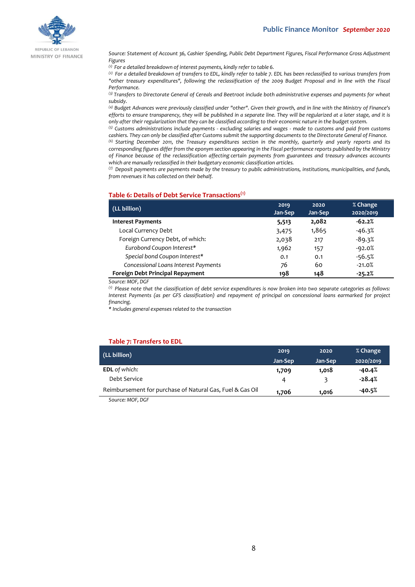

REPUBLIC OF LEBANON MINISTRY OF FINANCE

*Source: Statement of Account 36, Cashier Spending, Public Debt Department Figures, Fiscal Performance Gross Adjustment Figures*

*(1) For a detailed breakdown of interest payments, kindly refer to table 6.*

*(2) For a detailed breakdown of transfers to EDL, kindly refer to table 7. EDL has been reclassified to various transfers from "other treasury expenditures", following the reclassification of the 2009 Budget Proposal and in line with the Fiscal Performance.*

*(3) Transfers to Directorate General of Cereals and Beetroot include both administrative expenses and payments for wheat subsidy.*

*(4) Budget Advances were previously classified under "other". Given their growth, and in line with the Ministry of Finance's efforts to ensure transparency, they will be published in a separate line. They will be regularized at a later stage, and it is only after their regularization that they can be classified according to their economic nature in the budget system.*

*(5) Customs administrations include payments - excluding salaries and wages - made to customs and paid from customs cashiers. They can only be classified after Customs submit the supporting documents to the Directorate General of Finance.*

*(6) Starting December 2011, the Treasury expenditures section in the monthly, quarterly and yearly reports and its corresponding figures differ from the eponym section appearing in the Fiscal performance reports published by the Ministry of Finance because of the reclassification affecting certain payments from guarantees and treasury advances accounts which are manually reclassified in their budgetary economic classification articles.*

*(7) Deposit payments are payments made by the treasury to public administrations, institutions, municipalities, and funds, from revenues it has collected on their behalf.*

### **Table 6: Details of Debt Service Transactions(1)**

| (LL billion)                         | 2019<br>Jan-Sep | 2020<br>Jan-Sep | % Change<br>2020/2019 |
|--------------------------------------|-----------------|-----------------|-----------------------|
| <b>Interest Payments</b>             | 5,513           | 2,082           | $-62.2%$              |
| Local Currency Debt                  | 3,475           | 1,865           | $-46.3%$              |
| Foreign Currency Debt, of which:     | 2,038           | 217             | $-89.3%$              |
| Eurobond Coupon Interest*            | 1,962           | 157             | $-92.0%$              |
| Special bond Coupon Interest*        | 0.1             | 0.1             | $-56.5%$              |
| Concessional Loans Interest Payments | 76              | 60              | $-21.0%$              |
| Foreign Debt Principal Repayment     | 198             | 148             | $-25.2%$              |

*Source: MOF, DGF*

*(1) Please note that the classification of debt service expenditures is now broken into two separate categories as follows: Interest Payments (as per GFS classification) and repayment of principal on concessional loans earmarked for project financing.*

*\* Includes general expenses related to the transaction*

### **Table 7: Transfers to EDL**

| 2019    | 2020    | % Change  |
|---------|---------|-----------|
| Jan-Sep | Jan-Sep | 2020/2019 |
| 1,709   | 1,018   | $-40.4%$  |
| Δ       | ₹       | $-28.4%$  |
| 1.706   | 1.016   | -40.5%    |
|         |         |           |

*Source: MOF, DGF*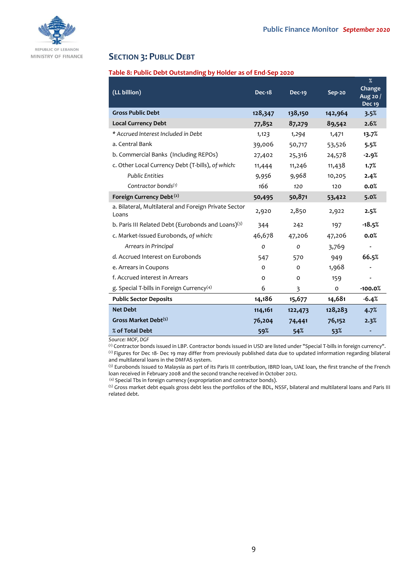

# **SECTION 3: PUBLIC DEBT**

### **Table 8: Public Debt Outstanding by Holder as of End-Sep 2020**

| (LL billion)                                                   | <b>Dec-18</b> | <b>Dec-19</b> | Sep-20  | $\%$<br>Change<br>Aug 20 $/$<br><b>Dec 19</b> |
|----------------------------------------------------------------|---------------|---------------|---------|-----------------------------------------------|
| <b>Gross Public Debt</b>                                       | 128,347       | 138,150       | 142,964 | 3.5%                                          |
| <b>Local Currency Debt</b>                                     | 77,852        | 87,279        | 89,542  | 2.6%                                          |
| * Accrued Interest Included in Debt                            | 1,123         | 1,294         | 1,471   | 13.7%                                         |
| a. Central Bank                                                | 39,006        | 50,717        | 53,526  | 5.5%                                          |
| b. Commercial Banks (Including REPOs)                          | 27,402        | 25,316        | 24,578  | $-2.9%$                                       |
| c. Other Local Currency Debt (T-bills), of which:              | 11,444        | 11,246        | 11,438  | 1.7%                                          |
| <b>Public Entities</b>                                         | 9,956         | 9,968         | 10,205  | 2.4%                                          |
| Contractor bonds $(1)$                                         | 166           | 120           | 120     | 0.0%                                          |
| Foreign Currency Debt <sup>(2)</sup>                           | 50,495        | 50,871        | 53,422  | 5.0%                                          |
| a. Bilateral, Multilateral and Foreign Private Sector<br>Loans | 2,920         | 2,850         | 2,922   | 2.5%                                          |
| b. Paris III Related Debt (Eurobonds and Loans)(3)             | 344           | 242           | 197     | $-18.5%$                                      |
| c. Market-Issued Eurobonds, of which:                          | 46,678        | 47,206        | 47,206  | 0.0%                                          |
| Arrears in Principal                                           | $\mathcal{O}$ | 0             | 3,769   |                                               |
| d. Accrued Interest on Eurobonds                               | 547           | 570           | 949     | 66.5%                                         |
| e. Arrears in Coupons                                          | O             | $\Omega$      | 1,968   |                                               |
| f. Accrued interest in Arrears                                 | $\Omega$      | $\Omega$      | 159     |                                               |
| g. Special T-bills in Foreign Currency <sup>(4)</sup>          | 6             | 3             | 0       | $-100.0%$                                     |
| <b>Public Sector Deposits</b>                                  | 14,186        | 15,677        | 14,681  | $-6.4%$                                       |
| <b>Net Debt</b>                                                | 114,161       | 122,473       | 128,283 | 4.7%                                          |
| Gross Market Debt <sup>(5)</sup>                               | 76,204        | 74,441        | 76,152  | 2.3%                                          |
| % of Total Debt                                                | 59%           | 54%           | 53%     |                                               |

*Source: MOF, DGF*

(1) Contractor bonds issued in LBP. Contractor bonds issued in USD are listed under "Special T-bills in foreign currency". (2) Figures for Dec 18- Dec 19 may differ from previously published data due to updated information regarding bilateral and multilateral loans in the DMFAS system.

(3) Eurobonds Issued to Malaysia as part of its Paris III contribution, IBRD loan, UAE loan, the first tranche of the French loan received in February 2008 and the second tranche received in October 2012.

(4) Special Tbs in foreign currency (expropriation and contractor bonds).

(5) Gross market debt equals gross debt less the portfolios of the BDL, NSSF, bilateral and multilateral loans and Paris III related debt.